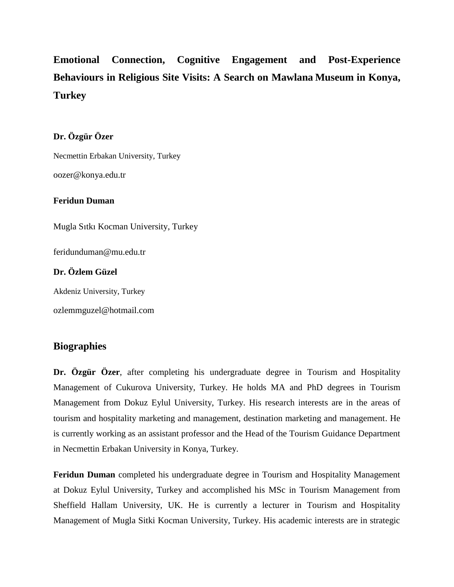# **Emotional Connection, Cognitive Engagement and Post-Experience Behaviours in Religious Site Visits: A Search on Mawlana Museum in Konya, Turkey**

## **Dr. Özgür Özer**

Necmettin Erbakan University, Turkey oozer@konya.edu.tr

#### **Feridun Duman**

Mugla Sıtkı Kocman University, Turkey

feridunduman@mu.edu.tr

## **Dr. Özlem Güzel**

Akdeniz University, Turkey

ozlemmguzel@hotmail.com

# **Biographies**

**Dr. Özgür Özer**, after completing his undergraduate degree in Tourism and Hospitality Management of Cukurova University, Turkey. He holds MA and PhD degrees in Tourism Management from Dokuz Eylul University, Turkey. His research interests are in the areas of tourism and hospitality marketing and management, destination marketing and management. He is currently working as an assistant professor and the Head of the Tourism Guidance Department in Necmettin Erbakan University in Konya, Turkey.

**Feridun Duman** completed his undergraduate degree in Tourism and Hospitality Management at Dokuz Eylul University, Turkey and accomplished his MSc in Tourism Management from Sheffield Hallam University, UK. He is currently a lecturer in Tourism and Hospitality Management of Mugla Sitki Kocman University, Turkey. His academic interests are in strategic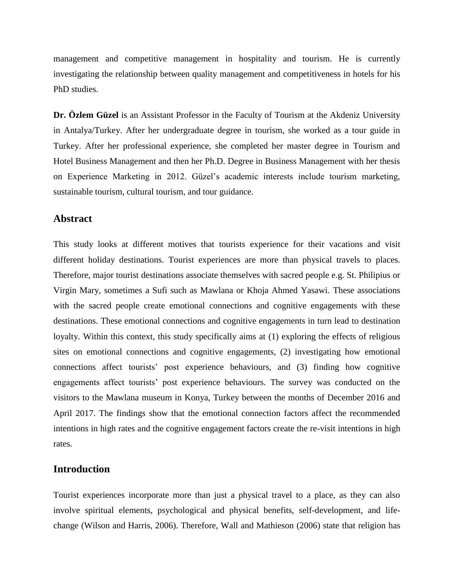management and competitive management in hospitality and tourism. He is currently investigating the relationship between quality management and competitiveness in hotels for his PhD studies.

**Dr. Özlem Güzel** is an Assistant Professor in the Faculty of Tourism at the Akdeniz University in Antalya/Turkey. After her undergraduate degree in tourism, she worked as a tour guide in Turkey. After her professional experience, she completed her master degree in Tourism and Hotel Business Management and then her Ph.D. Degree in Business Management with her thesis on Experience Marketing in 2012. Güzel's academic interests include tourism marketing, sustainable tourism, cultural tourism, and tour guidance.

#### **Abstract**

This study looks at different motives that tourists experience for their vacations and visit different holiday destinations. Tourist experiences are more than physical travels to places. Therefore, major tourist destinations associate themselves with sacred people e.g. St. Philipius or Virgin Mary, sometimes a Sufi such as Mawlana or Khoja Ahmed Yasawi. These associations with the sacred people create emotional connections and cognitive engagements with these destinations. These emotional connections and cognitive engagements in turn lead to destination loyalty. Within this context, this study specifically aims at (1) exploring the effects of religious sites on emotional connections and cognitive engagements, (2) investigating how emotional connections affect tourists' post experience behaviours, and (3) finding how cognitive engagements affect tourists' post experience behaviours. The survey was conducted on the visitors to the Mawlana museum in Konya, Turkey between the months of December 2016 and April 2017. The findings show that the emotional connection factors affect the recommended intentions in high rates and the cognitive engagement factors create the re-visit intentions in high rates.

#### **Introduction**

Tourist experiences incorporate more than just a physical travel to a place, as they can also involve spiritual elements, psychological and physical benefits, self-development, and lifechange (Wilson and Harris, 2006). Therefore, Wall and Mathieson (2006) state that religion has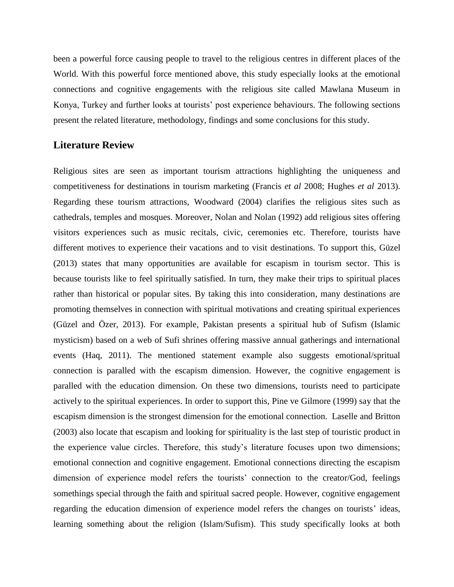been a powerful force causing people to travel to the religious centres in different places of the World. With this powerful force mentioned above, this study especially looks at the emotional connections and cognitive engagements with the religious site called Mawlana Museum in Konya, Turkey and further looks at tourists' post experience behaviours. The following sections present the related literature, methodology, findings and some conclusions for this study.

#### **Literature Review**

Religious sites are seen as important tourism attractions highlighting the uniqueness and competitiveness for destinations in tourism marketing (Francis *et al* 2008; Hughes *et al* 2013). Regarding these tourism attractions, Woodward (2004) clarifies the religious sites such as cathedrals, temples and mosques. Moreover, Nolan and Nolan (1992) add religious sites offering visitors experiences such as music recitals, civic, ceremonies etc. Therefore, tourists have different motives to experience their vacations and to visit destinations. To support this, Güzel (2013) states that many opportunities are available for escapism in tourism sector. This is because tourists like to feel spiritually satisfied. In turn, they make their trips to spiritual places rather than historical or popular sites. By taking this into consideration, many destinations are promoting themselves in connection with spiritual motivations and creating spiritual experiences (Güzel and Özer, 2013). For example, Pakistan presents a spiritual hub of Sufism (Islamic mysticism) based on a web of Sufi shrines offering massive annual gatherings and international events (Haq, 2011). The mentioned statement example also suggests emotional/spritual connection is paralled with the escapism dimension. However, the cognitive engagement is paralled with the education dimension. On these two dimensions, tourists need to participate actively to the spiritual experiences. In order to support this, Pine ve Gilmore (1999) say that the escapism dimension is the strongest dimension for the emotional connection. Laselle and Britton (2003) also locate that escapism and looking for spirituality is the last step of touristic product in the experience value circles. Therefore, this study's literature focuses upon two dimensions; emotional connection and cognitive engagement. Emotional connections directing the escapism dimension of experience model refers the tourists' connection to the creator/God, feelings somethings special through the faith and spiritual sacred people. However, cognitive engagement regarding the education dimension of experience model refers the changes on tourists' ideas, learning something about the religion (Islam/Sufism). This study specifically looks at both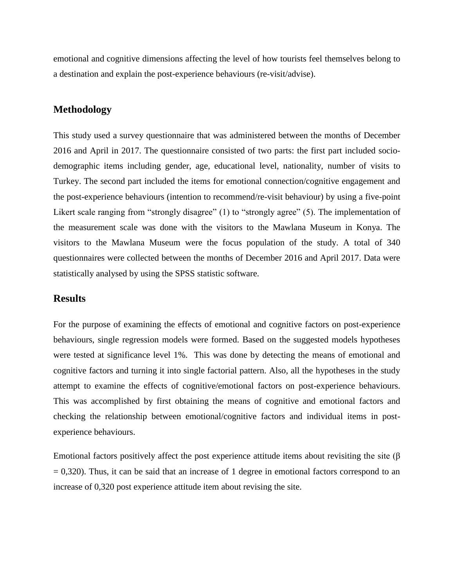emotional and cognitive dimensions affecting the level of how tourists feel themselves belong to a destination and explain the post-experience behaviours (re-visit/advise).

#### **Methodology**

This study used a survey questionnaire that was administered between the months of December 2016 and April in 2017. The questionnaire consisted of two parts: the first part included sociodemographic items including gender, age, educational level, nationality, number of visits to Turkey. The second part included the items for emotional connection/cognitive engagement and the post-experience behaviours (intention to recommend/re-visit behaviour) by using a five-point Likert scale ranging from "strongly disagree" (1) to "strongly agree" (5). The implementation of the measurement scale was done with the visitors to the Mawlana Museum in Konya. The visitors to the Mawlana Museum were the focus population of the study. A total of 340 questionnaires were collected between the months of December 2016 and April 2017. Data were statistically analysed by using the SPSS statistic software.

## **Results**

For the purpose of examining the effects of emotional and cognitive factors on post-experience behaviours, single regression models were formed. Based on the suggested models hypotheses were tested at significance level 1%. This was done by detecting the means of emotional and cognitive factors and turning it into single factorial pattern. Also, all the hypotheses in the study attempt to examine the effects of cognitive/emotional factors on post-experience behaviours. This was accomplished by first obtaining the means of cognitive and emotional factors and checking the relationship between emotional/cognitive factors and individual items in postexperience behaviours.

Emotional factors positively affect the post experience attitude items about revisiting the site  $(\beta$  $= 0,320$ . Thus, it can be said that an increase of 1 degree in emotional factors correspond to an increase of 0,320 post experience attitude item about revising the site.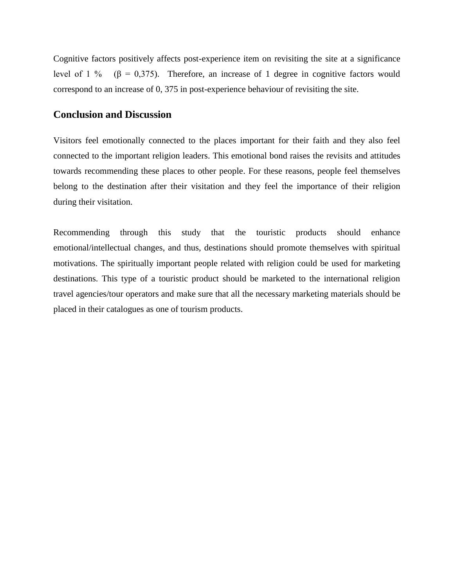Cognitive factors positively affects post-experience item on revisiting the site at a significance level of 1 % (β = 0,375). Therefore, an increase of 1 degree in cognitive factors would correspond to an increase of 0, 375 in post-experience behaviour of revisiting the site.

## **Conclusion and Discussion**

Visitors feel emotionally connected to the places important for their faith and they also feel connected to the important religion leaders. This emotional bond raises the revisits and attitudes towards recommending these places to other people. For these reasons, people feel themselves belong to the destination after their visitation and they feel the importance of their religion during their visitation.

Recommending through this study that the touristic products should enhance emotional/intellectual changes, and thus, destinations should promote themselves with spiritual motivations. The spiritually important people related with religion could be used for marketing destinations. This type of a touristic product should be marketed to the international religion travel agencies/tour operators and make sure that all the necessary marketing materials should be placed in their catalogues as one of tourism products.